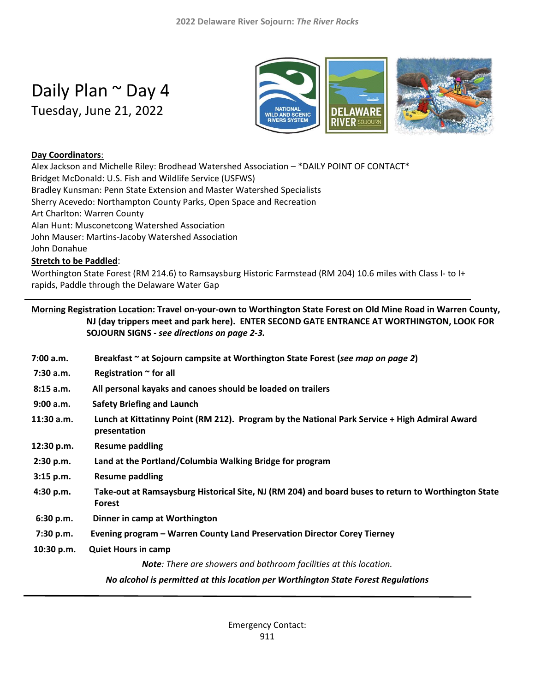# Daily Plan ~ Day 4

Tuesday, June 21, 2022



#### **Day Coordinators**:

Alex Jackson and Michelle Riley: Brodhead Watershed Association – \*DAILY POINT OF CONTACT\* Bridget McDonald: U.S. Fish and Wildlife Service (USFWS) Bradley Kunsman: Penn State Extension and Master Watershed Specialists Sherry Acevedo: Northampton County Parks, Open Space and Recreation Art Charlton: Warren County Alan Hunt: Musconetcong Watershed Association John Mauser: Martins-Jacoby Watershed Association John Donahue

#### **Stretch to be Paddled**:

Worthington State Forest (RM 214.6) to Ramsaysburg Historic Farmstead (RM 204) 10.6 miles with Class I- to I+ rapids, Paddle through the Delaware Water Gap

|            | Morning Registration Location: Travel on-your-own to Worthington State Forest on Old Mine Road in Warren County,<br>NJ (day trippers meet and park here). ENTER SECOND GATE ENTRANCE AT WORTHINGTON, LOOK FOR<br>SOJOURN SIGNS - see directions on page 2-3. |
|------------|--------------------------------------------------------------------------------------------------------------------------------------------------------------------------------------------------------------------------------------------------------------|
| 7:00 a.m.  | Breakfast ~ at Sojourn campsite at Worthington State Forest (see map on page 2)                                                                                                                                                                              |
| 7:30 a.m.  | Registration ~ for all                                                                                                                                                                                                                                       |
| 8:15 a.m.  | All personal kayaks and canoes should be loaded on trailers                                                                                                                                                                                                  |
| 9:00 a.m.  | <b>Safety Briefing and Launch</b>                                                                                                                                                                                                                            |
| 11:30 a.m. | Lunch at Kittatinny Point (RM 212). Program by the National Park Service + High Admiral Award<br>presentation                                                                                                                                                |
| 12:30 p.m. | <b>Resume paddling</b>                                                                                                                                                                                                                                       |
| 2:30 p.m.  | Land at the Portland/Columbia Walking Bridge for program                                                                                                                                                                                                     |
| 3:15 p.m.  | <b>Resume paddling</b>                                                                                                                                                                                                                                       |
| 4:30 p.m.  | Take-out at Ramsaysburg Historical Site, NJ (RM 204) and board buses to return to Worthington State<br><b>Forest</b>                                                                                                                                         |
| 6:30 p.m.  | Dinner in camp at Worthington                                                                                                                                                                                                                                |
| 7:30 p.m.  | Evening program - Warren County Land Preservation Director Corey Tierney                                                                                                                                                                                     |
| 10:30 p.m. | <b>Quiet Hours in camp</b>                                                                                                                                                                                                                                   |
|            | Note: There are showers and bathroom facilities at this location.                                                                                                                                                                                            |
|            | No alcohol is permitted at this location per Worthington State Forest Regulations                                                                                                                                                                            |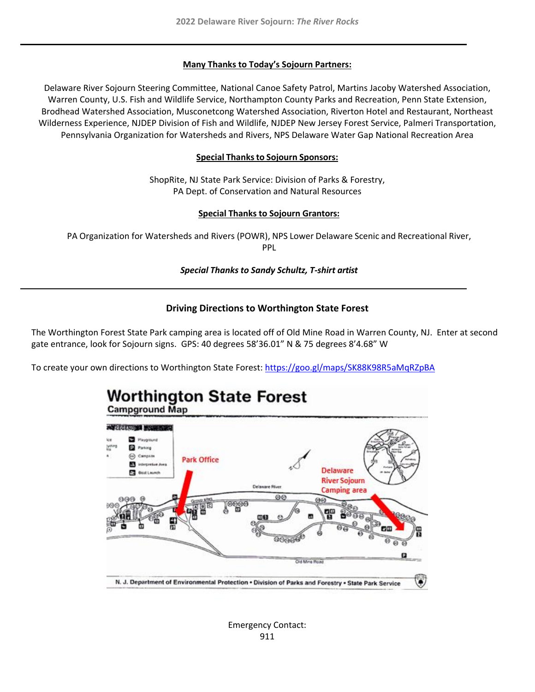#### **Many Thanks to Today's Sojourn Partners:**

Delaware River Sojourn Steering Committee, National Canoe Safety Patrol, Martins Jacoby Watershed Association, Warren County, U.S. Fish and Wildlife Service, Northampton County Parks and Recreation, Penn State Extension, Brodhead Watershed Association, Musconetcong Watershed Association, Riverton Hotel and Restaurant, Northeast Wilderness Experience, NJDEP Division of Fish and Wildlife, NJDEP New Jersey Forest Service, Palmeri Transportation, Pennsylvania Organization for Watersheds and Rivers, NPS Delaware Water Gap National Recreation Area

#### **Special Thanksto Sojourn Sponsors:**

ShopRite, NJ State Park Service: Division of Parks & Forestry, PA Dept. of Conservation and Natural Resources

#### **Special Thanks to Sojourn Grantors:**

PA Organization for Watersheds and Rivers (POWR), NPS Lower Delaware Scenic and Recreational River, PPL

#### *Special Thanks to Sandy Schultz, T-shirt artist*

#### **Driving Directions to Worthington State Forest**

The Worthington Forest State Park camping area is located off of Old Mine Road in Warren County, NJ. Enter at second gate entrance, look for Sojourn signs. GPS: 40 degrees 58'36.01" N & 75 degrees 8'4.68" W

To create your own directions to Worthington State Forest:<https://goo.gl/maps/SK88K98R5aMqRZpBA>

# **Worthington State Forest Campground Map ANY LOCATIONS MODERNESS Parking** C Campana **Park Office B** interpreture Avea **Delaware** F2 Bout Launch **River Sojourn Delaware Plives Camping area** Cod Mine Road N. J. Department of Environmental Protection . Division of Parks and Forestry . State Park Service

Emergency Contact: 911